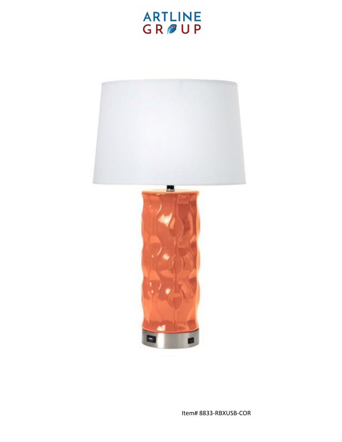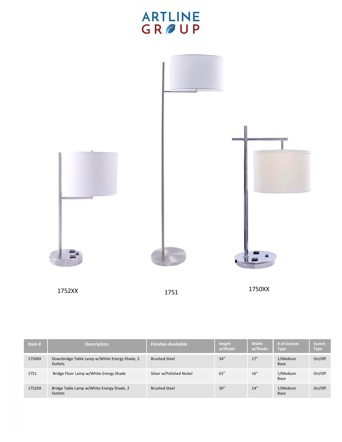

| Item#  | <b>Description</b>                                          | <b>Finishes Available</b> | Height<br>w/Shade | Width<br>w/Shade | # of Sockets<br><b>Type</b> | Switch<br><b>Type</b> |
|--------|-------------------------------------------------------------|---------------------------|-------------------|------------------|-----------------------------|-----------------------|
| 1750XX | Downbridge Table Lamp w/White Energy Shade, 2<br>Outlets    | <b>Brushed Steel</b>      | 34''              | 17''             | 1/Medium<br><b>Base</b>     | On/Off                |
| 1751   | Bridge Floor Lamp w/White Energy Shade                      | Silver w/Polished Nickel  | 62"               | 16''             | 1/Medium<br>Base            | On/Off                |
| 1752XX | Bridge Table Lamp w/White Energy Shade, 2<br><b>Outlets</b> | <b>Brushed Steel</b>      | 30''              | 14''             | 1/Medium<br>Base            | On/Off                |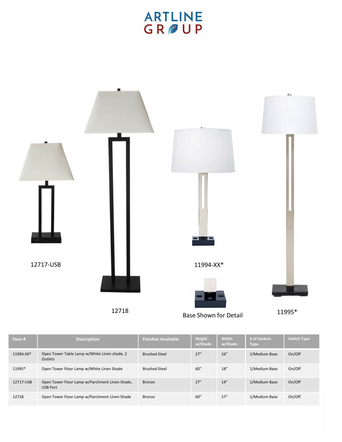

12718 Base Shown for Detail 11995\*

| Item#     | <b>Description</b>                                                | <b>Finishes Available</b> | <b>Height</b><br>w/Shade | Width<br>w/Shade | # of Sockets<br><b>Type</b> | <b>Switch Type</b> |
|-----------|-------------------------------------------------------------------|---------------------------|--------------------------|------------------|-----------------------------|--------------------|
| 11994-XX* | Open Tower Table Lamp w/White Linen shade, 2<br>Outlets           | <b>Brushed Steel</b>      | 27''                     | 16"              | 1/Medium Base               | On/Off             |
| 11995*    | Open Tower Floor Lamp w/White Linen Shade                         | <b>Brushed Steel</b>      | 60''                     | 18''             | 1/Medium Base               | On/Off             |
| 12717-USB | Open Tower Floor Lamp w/Parchment Linen Shade,<br><b>USB Port</b> | <b>Bronze</b>             | 27''                     | 14"              | 1/Medium Base               | On/Off             |
| 12718     | Open Tower Floor Lamp w/Parchment Linen Shade                     | Bronze                    | 60''                     | 17''             | 1/Medium Base               | On/Off             |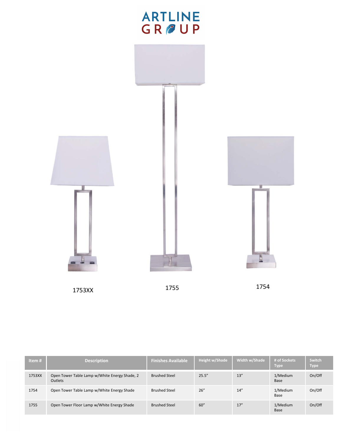

1753XX 1755 1754

| Item#  | <b>Description</b>                                              | <b>Finishes Available</b> | Height w/Shade | Width w/Shade | # of Sockets<br><b>Type</b> | Switch<br><b>Type</b> |
|--------|-----------------------------------------------------------------|---------------------------|----------------|---------------|-----------------------------|-----------------------|
| 1753XX | Open Tower Table Lamp w/White Energy Shade, 2<br><b>Outlets</b> | <b>Brushed Steel</b>      | 25.5''         | 13''          | 1/Medium<br>Base            | On/Off                |
| 1754   | Open Tower Table Lamp w/White Energy Shade                      | <b>Brushed Steel</b>      | 26''           | 14''          | 1/Medium<br>Base            | On/Off                |
| 1755   | Open Tower Floor Lamp w/White Energy Shade                      | <b>Brushed Steel</b>      | 60''           | 17''          | 1/Medium<br>Base            | On/Off                |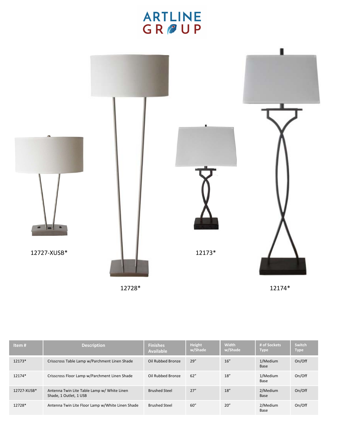

| Item#       | <b>Description</b>                                                    | <b>Finishes</b><br><b>Available</b> | Height<br>w/Shade | <b>Width</b><br>w/Shade | # of Sockets<br><b>Type</b> | Switch<br><b>Type</b> |
|-------------|-----------------------------------------------------------------------|-------------------------------------|-------------------|-------------------------|-----------------------------|-----------------------|
| 12173*      | Crisscross Table Lamp w/Parchment Linen Shade                         | Oil Rubbed Bronze                   | 29''              | 16''                    | 1/Medium<br>Base            | On/Off                |
| 12174*      | Crisscross Floor Lamp w/Parchment Linen Shade                         | Oil Rubbed Bronze                   | 62"               | 18''                    | 1/Medium<br>Base            | On/Off                |
| 12727-XUSB* | Antenna Twin Lite Table Lamp w/ White Linen<br>Shade, 1 Outlet, 1 USB | <b>Brushed Steel</b>                | 27''              | 18''                    | 2/Medium<br>Base            | On/Off                |
| 12728*      | Antenna Twin Lite Floor Lamp w/White Linen Shade                      | <b>Brushed Steel</b>                | 60''              | 20''                    | 2/Medium<br>Base            | On/Off                |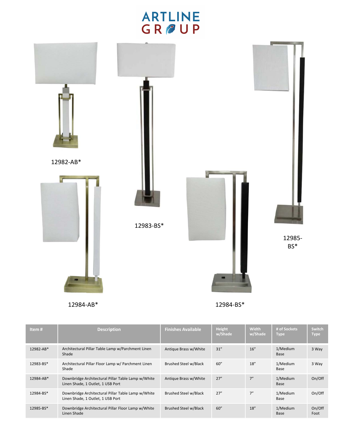

12984‐AB\* 12984‐BS\*

| Item#     | <b>Description</b>                                                                      | <b>Finishes Available</b> | <b>Height</b><br>w/Shade | Width<br>w/Shade | # of Sockets<br><b>Type</b> | <b>Switch</b><br><b>Type</b> |
|-----------|-----------------------------------------------------------------------------------------|---------------------------|--------------------------|------------------|-----------------------------|------------------------------|
| 12982-AB* | Architectural Pillar Table Lamp w/Parchment Linen<br>Shade                              | Antique Brass w/White     | 31"                      | 16''             | 1/Medium<br>Base            | 3 Way                        |
| 12983-BS* | Architectural Pillar Floor Lamp w/ Parchment Linen<br>Shade                             | Brushed Steel w/Black     | 60''                     | 18''             | 1/Medium<br>Base            | 3 Way                        |
| 12984-AB* | Downbridge Architectural Pillar Table Lamp w/White<br>Linen Shade, 1 Outlet, 1 USB Port | Antique Brass w/White     | 27''                     | 7"               | 1/Medium<br>Base            | On/Off                       |
| 12984-BS* | Downbridge Architectural Pillar Table Lamp w/White<br>Linen Shade, 1 Outlet, 1 USB Port | Brushed Steel w/Black     | 27''                     | 7"               | 1/Medium<br>Base            | On/Off                       |
| 12985-BS* | Downbridge Architectural Pillar Floor Lamp w/White<br>Linen Shade                       | Brushed Steel w/Black     | 60''                     | 18''             | 1/Medium<br>Base            | On/Off<br>Foot               |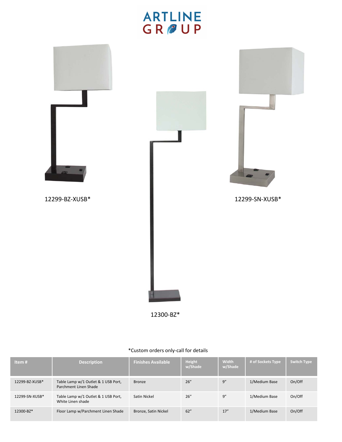

12300‐BZ\*

### \*Custom orders only‐call for details

| Item#          | <b>Description</b>                                           | <b>Finishes Available</b> | <b>Height</b><br>w/Shade | <b>Width</b><br>w/Shade | # of Sockets Type | Switch Type |
|----------------|--------------------------------------------------------------|---------------------------|--------------------------|-------------------------|-------------------|-------------|
| 12299-BZ-XUSB* | Table Lamp w/1 Outlet & 1 USB Port,<br>Parchment Linen Shade | <b>Bronze</b>             | 26''                     | 9''                     | 1/Medium Base     | On/Off      |
| 12299-SN-XUSB* | Table Lamp w/1 Outlet & 1 USB Port,<br>White Linen shade     | Satin Nickel              | 26''                     | 9''                     | 1/Medium Base     | On/Off      |
| 12300-BZ*      | Floor Lamp w/Parchment Linen Shade                           | Bronze, Satin Nickel      | 62''                     | 17''                    | 1/Medium Base     | On/Off      |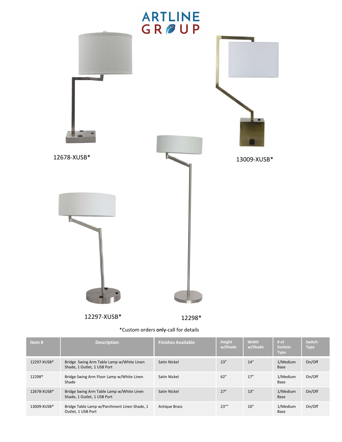

12297‐XUSB\* 12298\*

| *Custom orders only-call for details |  |  |  |  |
|--------------------------------------|--|--|--|--|
|--------------------------------------|--|--|--|--|

| *Custom orders only-call for details |                                                                          |                           |                   |                  |                                       |                       |  |  |
|--------------------------------------|--------------------------------------------------------------------------|---------------------------|-------------------|------------------|---------------------------------------|-----------------------|--|--|
| Item#                                | <b>Description</b>                                                       | <b>Finishes Available</b> | Height<br>w/Shade | Width<br>w/Shade | # of<br><b>Sockets</b><br><b>Type</b> | Switch<br><b>Type</b> |  |  |
| 12297-XUSB*                          | Bridge Swing Arm Table Lamp w/White Linen<br>Shade, 1 Outlet, 1 USB Port | Satin Nickel              | 23''              | 14''             | 1/Medium<br>Base                      | On/Off                |  |  |
| 12298*                               | Bridge Swing Arm Floor Lamp w/White Linen<br>Shade                       | Satin Nickel              | 62''              | 17''             | 1/Medium<br>Base                      | On/Off                |  |  |
| 12678-XUSB*                          | Bridge Swing Arm Table Lamp w/White Linen<br>Shade, 1 Outlet, 1 USB Port | Satin Nickel              | 27''              | 13''             | 1/Medium<br>Base                      | On/Off                |  |  |
| 13009-XUSB*                          | Bridge Table Lamp w/Parchment Linen Shade, 1<br>Outlet, 1 USB Port       | <b>Antique Brass</b>      | 23'''             | 10''             | 1/Medium<br>Base                      | On/Off                |  |  |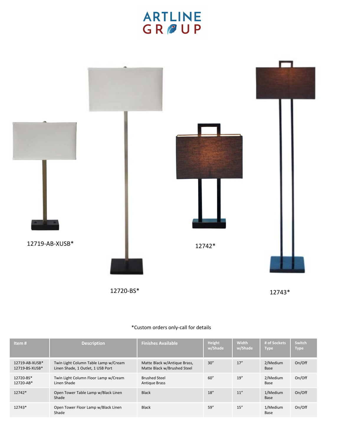### **ARTLINE** GROUP



### **Item # Description Description Example 2 w/Shade Width w/Shade # of Sockets Type Switch** 12719‐AB‐XUSB\* 12719‐BS‐XUSB\* Twin Light Column Table Lamp w/Cream Linen Shade, 1 Outlet, 1 USB Port Matte Black w/Antique Brass, Matte Black w/Brushed Steel 30" 17" 2/Medium Base On/Off 12720‐BS\* 12720‐AB\* Twin Light Column Floor Lamp w/Cream Linen Shade Brushed Steel Antique Brass 60" 19" 2/Medium Base On/Off 12742\* Open Tower Table Lamp w/Black Linen Shade Black 18" 11" 1/Medium Base On/Off 12743\* Open Tower Floor Lamp w/Black Linen Shade Black 59" 15" 1/Medium Base On/Off

### \*Custom orders only‐call for details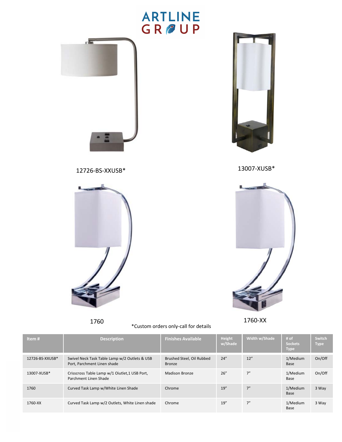

1760 1760‐XX \*Custom orders only‐call for details



| Item#           | <b>Description</b>                                                           | <b>Finishes Available</b>                  | Height<br>w/Shade | Width w/Shade | # of<br><b>Sockets</b><br><b>Type</b> | Switch<br><b>Type</b> |
|-----------------|------------------------------------------------------------------------------|--------------------------------------------|-------------------|---------------|---------------------------------------|-----------------------|
| 12726-BS-XXUSB* | Swivel Neck Task Table Lamp w/2 Outlets & USB<br>Port, Parchment Linen shade | Brushed Steel, Oil Rubbed<br><b>Bronze</b> | 24''              | 12"           | 1/Medium<br>Base                      | On/Off                |
| 13007-XUSB*     | Crisscross Table Lamp w/1 Oiutlet, 1 USB Port,<br>Parchment Linen Shade      | <b>Madison Bronze</b>                      | 26''              | 7"            | 1/Medium<br>Base                      | On/Off                |
| 1760            | Curved Task Lamp w/White Linen Shade                                         | Chrome                                     | 19''              | 7"            | 1/Medium<br>Base                      | 3 Way                 |
| 1760-XX         | Curved Task Lamp w/2 Outlets, White Linen shade                              | Chrome                                     | 19''              | 7"            | 1/Medium<br>Base                      | 3 Way                 |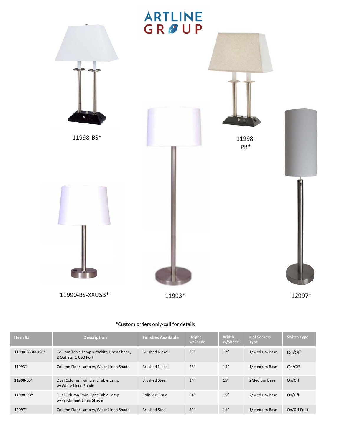

| Item #z         | <b>Description</b>                                              | <b>Finishes Available</b> | <b>Height</b><br>w/Shade | <b>Width</b><br>w/Shade | # of Sockets<br>Type | <b>Switch Type</b> |
|-----------------|-----------------------------------------------------------------|---------------------------|--------------------------|-------------------------|----------------------|--------------------|
| 11990-BS-XXUSB* | Column Table Lamp w/White Linen Shade,<br>2 Outlets, 1 USB Port | <b>Brushed Nickel</b>     | 29''                     | 17''                    | 1/Medium Base        | On/Off             |
| 11993*          | Column Floor Lamp w/White Linen Shade                           | <b>Brushed Nickel</b>     | 58''                     | 15''                    | 1/Medium Base        | On/Off             |
| 11998-BS*       | Dual Column Twin Light Table Lamp<br>w/White Linen Shade        | <b>Brushed Steel</b>      | 24''                     | 15''                    | 2Medium Base         | On/Off             |
| 11998-PB*       | Dual Column Twin Light Table Lamp<br>w/Parchment Linen Shade    | <b>Polished Brass</b>     | 24''                     | 15''                    | 2/Medium Base        | On/Off             |
| 12997*          | Column Floor Lamp w/White Linen Shade                           | <b>Brushed Steel</b>      | 59''                     | 11''                    | 1/Medium Base        | On/Off Foot        |

I.

### \*Custom orders only‐call for details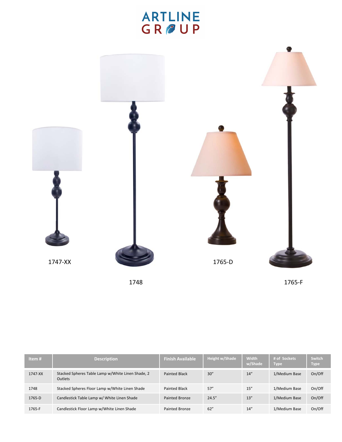

| Item $#$ | <b>Description</b>                                                  | <b>Finish Available</b> | Height w/Shade | <b>Width</b><br>w/Shade | # of Sockets<br><b>Type</b> | Switch<br><b>Type</b> |
|----------|---------------------------------------------------------------------|-------------------------|----------------|-------------------------|-----------------------------|-----------------------|
| 1747-XX  | Stacked Spheres Table Lamp w/White Linen Shade, 2<br><b>Outlets</b> | <b>Painted Black</b>    | 30''           | 14''                    | 1/Medium Base               | On/Off                |
| 1748     | Stacked Spheres Floor Lamp w/White Linen Shade                      | <b>Painted Black</b>    | 57''           | 15''                    | 1/Medium Base               | On/Off                |
| 1765-D   | Candlestick Table Lamp w/ White Linen Shade                         | Painted Bronze          | 24.5''         | 13''                    | 1/Medium Base               | On/Off                |
| 1765-F   | Candlestick Floor Lamp w/White Linen Shade                          | Painted Bronze          | 62''           | 14''                    | 1/Medium Base               | On/Off                |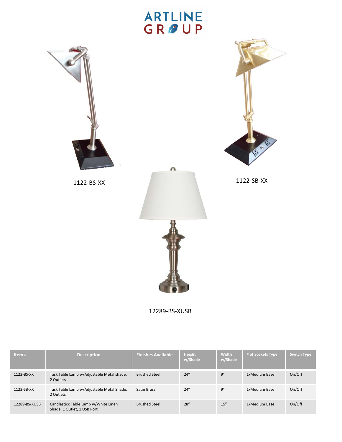



1122‐BS‐XX 1122‐SB‐XX

 $\sqrt{n}$ 



12289‐BS‐XUSB

| Item#         | <b>Description</b>                                                  | <b>Finishes Available</b> | <b>Height</b><br>w/Shade | <b>Width</b><br>w/Shade | # of Sockets Type | Switch Type |
|---------------|---------------------------------------------------------------------|---------------------------|--------------------------|-------------------------|-------------------|-------------|
| 1122-BS-XX    | Task Table Lamp w/Adjustable Metal shade,<br>2 Outlets              | <b>Brushed Steel</b>      | 24''                     | 9''                     | 1/Medium Base     | On/Off      |
| 1122-SB-XX    | Task Table Lamp w/Adjustable Metal Shade,<br>2 Outlets              | <b>Satin Brass</b>        | 24''                     | 9''                     | 1/Medium Base     | On/Off      |
| 12289-BS-XUSB | Candlestick Table Lamp w/White Linen<br>Shade, 1 Outlet, 1 USB Port | <b>Brushed Steel</b>      | 28''                     | 15''                    | 1/Medium Base     | On/Off      |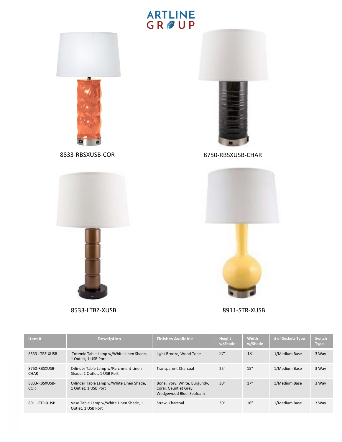### **ARTLINE**<br>GR<sub></sub>OUP







8533‐LTBZ‐XUSB 8911‐STR‐XUSB



| Item#                       | <b>Description</b>                                                   | <b>Finishes Available</b>                                                         | Height<br>w/Shade | <b>Width</b><br>w/Shade | # of Sockets Type | Switch<br><b>Type</b> |
|-----------------------------|----------------------------------------------------------------------|-----------------------------------------------------------------------------------|-------------------|-------------------------|-------------------|-----------------------|
| 8533-LTBZ-XUSB              | Totemic Table Lamp w/White Linen Shade,<br>1 Outlet, 1 USB Port      | Light Bronze, Wood Tone                                                           | 27"               | 13"                     | 1/Medium Base     | 3 Way                 |
| 8750-RBSXUSB-<br>CHAR       | Cylinder Table Lamp w/Parchment Linen<br>Shade, 1 Outlet, 1 USB Port | <b>Transparent Charcoal</b>                                                       | 25''              | 15''                    | 1/Medium Base     | 3 Way                 |
| 8833-RBSXUSB-<br><b>COR</b> | Cylinder Table Lamp w/White Linen Shade,<br>1 Outlet, 1 USB Port     | Bone, Ivory, White, Burgundy,<br>Coral, Gauntlet Grey,<br>Wedgewood Blue, Seafoam | 30''              | 17''                    | 1/Medium Base     | 3 Way                 |
| 8911-STR-XUSB               | Vase Table Lamp w/White Linen Shade, 1<br>Outlet, 1 USB Port         | Straw. Charcoal                                                                   | 30''              | 16''                    | 1/Medium Base     | 3 Way                 |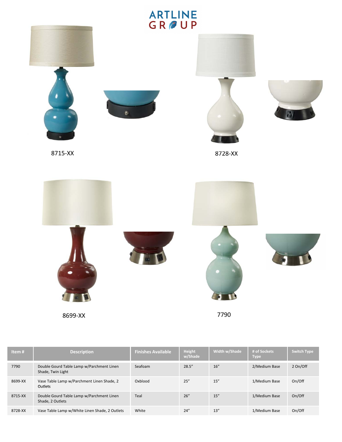

| Item#   | <b>Description</b>                                             | <b>Finishes Available</b> | <b>Height</b><br>w/Shade | Width w/Shade | # of Sockets<br><b>Type</b> | <b>Switch Type</b> |
|---------|----------------------------------------------------------------|---------------------------|--------------------------|---------------|-----------------------------|--------------------|
| 7790    | Double Gourd Table Lamp w/Parchment Linen<br>Shade, Twin Light | Seafoam                   | 28.5''                   | 16''          | 2/Medium Base               | 2 On/Off           |
| 8699-XX | Vase Table Lamp w/Parchment Linen Shade, 2<br>Outlets          | Oxblood                   | 25''                     | 15''          | 1/Medium Base               | On/Off             |
| 8715-XX | Double Gourd Table Lamp w/Parchment Linen<br>Shade, 2 Outlets  | Teal                      | 26''                     | 15''          | 1/Medium Base               | On/Off             |
| 8728-XX | Vase Table Lamp w/White Linen Shade, 2 Outlets                 | White                     | 24''                     | 13''          | 1/Medium Base               | On/Off             |